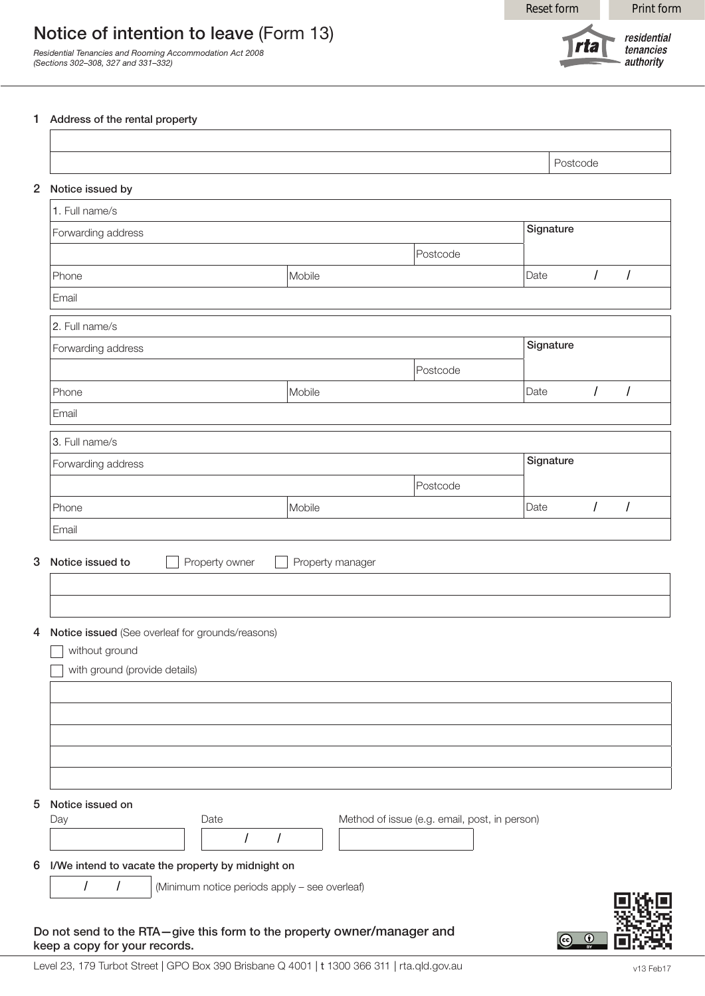Reset form Print form

## Notice of intention to leave (Form 13)

*Residential Tenancies and Rooming Accommodation Act 2008 (Sections 302–308, 327 and 331–332)*

residential **rta** tenancies authority

## 1 Address of the rental property

| Notice issued by<br>1. Full name/s                                                                  |                                               |                  |                                               |           |            |                      |
|-----------------------------------------------------------------------------------------------------|-----------------------------------------------|------------------|-----------------------------------------------|-----------|------------|----------------------|
| Forwarding address                                                                                  |                                               |                  |                                               | Signature |            |                      |
|                                                                                                     |                                               |                  | Postcode                                      |           |            |                      |
| Phone                                                                                               |                                               | Mobile           |                                               | Date      | $\sqrt{ }$ | $\sqrt{\phantom{a}}$ |
| Email                                                                                               |                                               |                  |                                               |           |            |                      |
| 2. Full name/s                                                                                      |                                               |                  |                                               |           |            |                      |
| Forwarding address                                                                                  |                                               |                  | Signature                                     |           |            |                      |
|                                                                                                     |                                               |                  | Postcode                                      |           |            |                      |
| Phone                                                                                               |                                               | Mobile           |                                               | Date      | $\sqrt{ }$ | $\sqrt{ }$           |
| Email                                                                                               |                                               |                  |                                               |           |            |                      |
| 3. Full name/s                                                                                      |                                               |                  |                                               |           |            |                      |
| Forwarding address                                                                                  |                                               |                  |                                               | Signature |            |                      |
|                                                                                                     |                                               |                  | Postcode                                      |           |            |                      |
|                                                                                                     |                                               |                  |                                               |           |            |                      |
|                                                                                                     |                                               | Mobile           |                                               | Date      | $\sqrt{ }$ | $\prime$             |
| Phone<br>Email<br>Notice issued to                                                                  | Property owner                                | Property manager |                                               |           |            |                      |
| Notice issued (See overleaf for grounds/reasons)<br>without ground<br>with ground (provide details) |                                               |                  |                                               |           |            |                      |
| Notice issued on<br>Day                                                                             | Date                                          |                  | Method of issue (e.g. email, post, in person) |           |            |                      |
|                                                                                                     |                                               |                  |                                               |           |            |                      |
| I/We intend to vacate the property by midnight on<br>$\prime$                                       | (Minimum notice periods apply - see overleaf) |                  |                                               |           |            |                      |



keep a copy for your records.